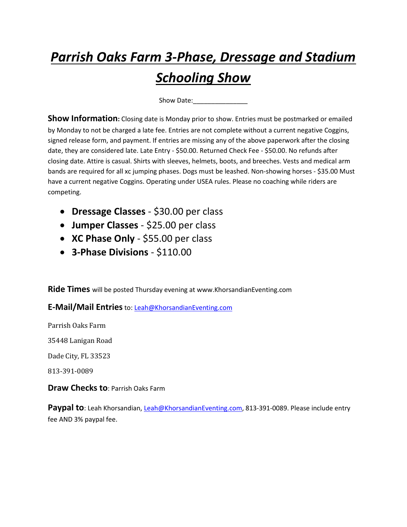# *Parrish Oaks Farm 3-Phase, Dressage and Stadium Schooling Show*

Show Date:\_\_\_\_\_\_\_\_\_\_\_\_\_\_\_

**Show Information:** Closing date is Monday prior to show. Entries must be postmarked or emailed by Monday to not be charged a late fee. Entries are not complete without a current negative Coggins, signed release form, and payment. If entries are missing any of the above paperwork after the closing date, they are considered late. Late Entry - \$50.00. Returned Check Fee - \$50.00. No refunds after closing date. Attire is casual. Shirts with sleeves, helmets, boots, and breeches. Vests and medical arm bands are required for all xc jumping phases. Dogs must be leashed. Non-showing horses - \$35.00 Must have a current negative Coggins. Operating under USEA rules. Please no coaching while riders are competing.

- **Dressage Classes** \$30.00 per class
- **Jumper Classes** \$25.00 per class
- **XC Phase Only** \$55.00 per class
- **3-Phase Divisions** \$110.00

**Ride Times** will be posted Thursday evening at www.KhorsandianEventing.com

**E-Mail/Mail Entries**to: [Leah@KhorsandianEventing.com](mailto:Leah@KhorsandianEventing.com)

Parrish Oaks Farm

35448 Lanigan Road

Dade City, FL 33523

813-391-0089

**Draw Checks to**: Parrish Oaks Farm

Paypal to: Leah Khorsandian, [Leah@KhorsandianEventing.com,](mailto:Leah@KhorsandianEventing.com) 813-391-0089. Please include entry fee AND 3% paypal fee.